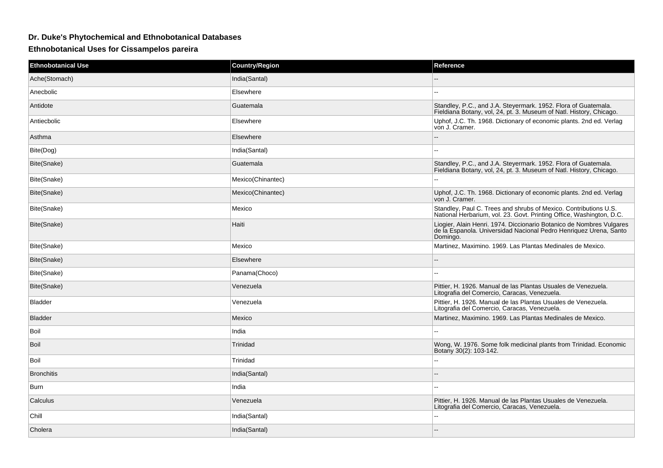## **Dr. Duke's Phytochemical and Ethnobotanical Databases**

**Ethnobotanical Uses for Cissampelos pareira**

| <b>Ethnobotanical Use</b> | <b>Country/Region</b> | Reference                                                                                                                                             |
|---------------------------|-----------------------|-------------------------------------------------------------------------------------------------------------------------------------------------------|
| Ache(Stomach)             | India(Santal)         |                                                                                                                                                       |
| Anecbolic                 | Elsewhere             | $\sim$                                                                                                                                                |
| Antidote                  | Guatemala             | Standley, P.C., and J.A. Steyermark. 1952. Flora of Guatemala.<br>Fieldiana Botany, vol, 24, pt. 3. Museum of Natl. History, Chicago.                 |
| Antiecbolic               | Elsewhere             | Uphof, J.C. Th. 1968. Dictionary of economic plants. 2nd ed. Verlag<br>von J. Cramer.                                                                 |
| Asthma                    | Elsewhere             | --                                                                                                                                                    |
| Bite(Dog)                 | India(Santal)         |                                                                                                                                                       |
| Bite(Snake)               | Guatemala             | Standley, P.C., and J.A. Steyermark. 1952. Flora of Guatemala.<br>Fieldiana Botany, vol, 24, pt. 3. Museum of Natl. History, Chicago.                 |
| Bite(Snake)               | Mexico(Chinantec)     |                                                                                                                                                       |
| Bite(Snake)               | Mexico(Chinantec)     | Uphof, J.C. Th. 1968. Dictionary of economic plants. 2nd ed. Verlag<br>von J. Cramer.                                                                 |
| Bite(Snake)               | Mexico                | Standley, Paul C. Trees and shrubs of Mexico. Contributions U.S.<br>National Herbarium, vol. 23. Govt. Printing Office, Washington, D.C.              |
| Bite(Snake)               | Haiti                 | Liogier, Alain Henri. 1974. Diccionario Botanico de Nombres Vulgares<br>de la Espanola. Universidad Nacional Pedro Henriquez Urena, Santo<br>Domingo. |
| Bite(Snake)               | Mexico                | Martinez, Maximino. 1969. Las Plantas Medinales de Mexico.                                                                                            |
| Bite(Snake)               | Elsewhere             |                                                                                                                                                       |
| Bite(Snake)               | Panama(Choco)         | $\overline{a}$                                                                                                                                        |
| Bite(Snake)               | Venezuela             | Pittier, H. 1926. Manual de las Plantas Usuales de Venezuela.<br>Litografia del Comercio, Caracas, Venezuela.                                         |
| <b>Bladder</b>            | Venezuela             | Pittier, H. 1926. Manual de las Plantas Usuales de Venezuela.<br>Litografia del Comercio, Caracas, Venezuela.                                         |
| <b>Bladder</b>            | Mexico                | Martinez, Maximino. 1969. Las Plantas Medinales de Mexico.                                                                                            |
| Boil                      | India                 | ٠.                                                                                                                                                    |
| Boil                      | Trinidad              | Wong, W. 1976. Some folk medicinal plants from Trinidad. Economic<br>Botany 30(2): 103-142.                                                           |
| Boil                      | Trinidad              |                                                                                                                                                       |
| <b>Bronchitis</b>         | India(Santal)         |                                                                                                                                                       |
| Burn                      | India                 | $\overline{a}$                                                                                                                                        |
| Calculus                  | Venezuela             | Pittier, H. 1926. Manual de las Plantas Usuales de Venezuela.<br>Litografia del Comercio, Caracas, Venezuela.                                         |
| Chill                     | India(Santal)         |                                                                                                                                                       |
| Cholera                   | India(Santal)         |                                                                                                                                                       |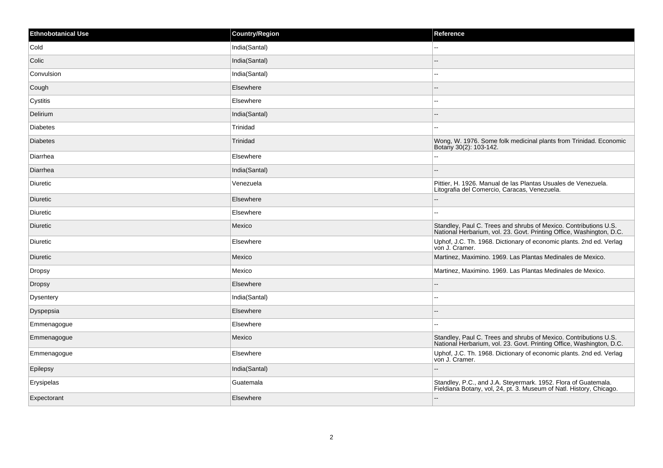| <b>Ethnobotanical Use</b> | <b>Country/Region</b> | Reference                                                                                                                                |
|---------------------------|-----------------------|------------------------------------------------------------------------------------------------------------------------------------------|
| Cold                      | India(Santal)         | $\overline{a}$                                                                                                                           |
| Colic                     | India(Santal)         |                                                                                                                                          |
| Convulsion                | India(Santal)         | --                                                                                                                                       |
| Cough                     | Elsewhere             | $=$                                                                                                                                      |
| Cystitis                  | Elsewhere             | $\overline{a}$                                                                                                                           |
| Delirium                  | India(Santal)         |                                                                                                                                          |
| <b>Diabetes</b>           | Trinidad              | $\overline{a}$                                                                                                                           |
| <b>Diabetes</b>           | Trinidad              | Wong, W. 1976. Some folk medicinal plants from Trinidad. Economic<br>Botany 30(2): 103-142.                                              |
| Diarrhea                  | Elsewhere             |                                                                                                                                          |
| Diarrhea                  | India(Santal)         | $-$                                                                                                                                      |
| Diuretic                  | Venezuela             | Pittier, H. 1926. Manual de las Plantas Usuales de Venezuela.<br>Litografia del Comercio, Caracas, Venezuela.                            |
| Diuretic                  | Elsewhere             | $\qquad \qquad -$                                                                                                                        |
| Diuretic                  | Elsewhere             | ۵.                                                                                                                                       |
| Diuretic                  | Mexico                | Standley, Paul C. Trees and shrubs of Mexico. Contributions U.S.<br>National Herbarium, vol. 23. Govt. Printing Office, Washington, D.C. |
| <b>Diuretic</b>           | Elsewhere             | Uphof, J.C. Th. 1968. Dictionary of economic plants. 2nd ed. Verlag<br>von J. Cramer.                                                    |
| Diuretic                  | Mexico                | Martinez, Maximino. 1969. Las Plantas Medinales de Mexico.                                                                               |
| Dropsy                    | Mexico                | Martinez, Maximino. 1969. Las Plantas Medinales de Mexico.                                                                               |
| <b>Dropsy</b>             | Elsewhere             |                                                                                                                                          |
| <b>Dysentery</b>          | India(Santal)         | --                                                                                                                                       |
| Dyspepsia                 | Elsewhere             |                                                                                                                                          |
| Emmenagogue               | Elsewhere             |                                                                                                                                          |
| Emmenagogue               | Mexico                | Standley, Paul C. Trees and shrubs of Mexico. Contributions U.S.<br>National Herbarium, vol. 23. Govt. Printing Office, Washington, D.C. |
| Emmenagogue               | Elsewhere             | Uphof, J.C. Th. 1968. Dictionary of economic plants. 2nd ed. Verlag<br>von J. Cramer.                                                    |
| Epilepsy                  | India(Santal)         |                                                                                                                                          |
| Erysipelas                | Guatemala             | Standley, P.C., and J.A. Steyermark. 1952. Flora of Guatemala.<br>Fieldiana Botany, vol, 24, pt. 3. Museum of Natl. History, Chicago.    |
| Expectorant               | Elsewhere             | $\overline{a}$                                                                                                                           |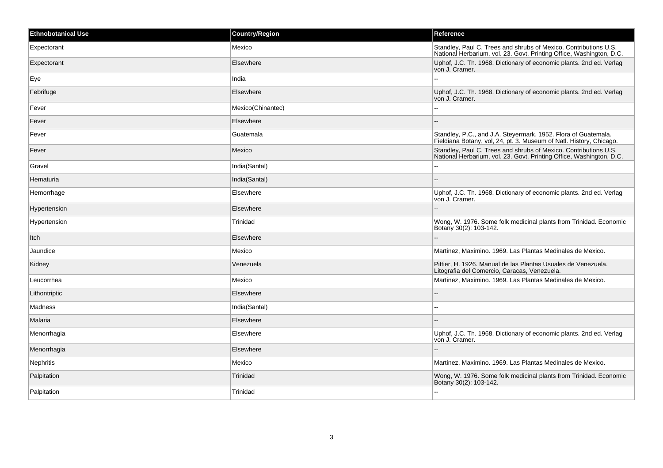| <b>Ethnobotanical Use</b> | <b>Country/Region</b> | Reference                                                                                                                                |
|---------------------------|-----------------------|------------------------------------------------------------------------------------------------------------------------------------------|
| Expectorant               | Mexico                | Standley, Paul C. Trees and shrubs of Mexico. Contributions U.S.<br>National Herbarium, vol. 23. Govt. Printing Office, Washington, D.C. |
| Expectorant               | Elsewhere             | Uphof, J.C. Th. 1968. Dictionary of economic plants. 2nd ed. Verlag<br>von J. Cramer.                                                    |
| Eye                       | India                 |                                                                                                                                          |
| Febrifuge                 | Elsewhere             | Uphof, J.C. Th. 1968. Dictionary of economic plants. 2nd ed. Verlag<br>von J. Cramer.                                                    |
| Fever                     | Mexico(Chinantec)     | $\overline{a}$                                                                                                                           |
| Fever                     | Elsewhere             |                                                                                                                                          |
| Fever                     | Guatemala             | Standley, P.C., and J.A. Steyermark. 1952. Flora of Guatemala.<br>Fieldiana Botany, vol. 24, pt. 3. Museum of Natl. History, Chicago.    |
| Fever                     | Mexico                | Standley, Paul C. Trees and shrubs of Mexico. Contributions U.S.<br>National Herbarium, vol. 23. Govt. Printing Office, Washington, D.C. |
| Gravel                    | India(Santal)         | ۵.                                                                                                                                       |
| Hematuria                 | India(Santal)         |                                                                                                                                          |
| Hemorrhage                | Elsewhere             | Uphof, J.C. Th. 1968. Dictionary of economic plants. 2nd ed. Verlag<br>von J. Cramer.                                                    |
| Hypertension              | Elsewhere             |                                                                                                                                          |
| Hypertension              | Trinidad              | Wong, W. 1976. Some folk medicinal plants from Trinidad. Economic<br>Botany 30(2): 103-142.                                              |
| Itch                      | Elsewhere             | --                                                                                                                                       |
| Jaundice                  | Mexico                | Martinez, Maximino. 1969. Las Plantas Medinales de Mexico.                                                                               |
| Kidney                    | Venezuela             | Pittier, H. 1926. Manual de las Plantas Usuales de Venezuela.<br>Litografia del Comercio, Caracas, Venezuela.                            |
| Leucorrhea                | Mexico                | Martinez, Maximino. 1969. Las Plantas Medinales de Mexico.                                                                               |
| Lithontriptic             | Elsewhere             |                                                                                                                                          |
| Madness                   | India(Santal)         | --                                                                                                                                       |
| Malaria                   | Elsewhere             |                                                                                                                                          |
| Menorrhagia               | Elsewhere             | Uphof, J.C. Th. 1968. Dictionary of economic plants. 2nd ed. Verlag<br>von J. Cramer.                                                    |
| Menorrhagia               | Elsewhere             |                                                                                                                                          |
| Nephritis                 | Mexico                | Martinez, Maximino. 1969. Las Plantas Medinales de Mexico.                                                                               |
| Palpitation               | Trinidad              | Wong, W. 1976. Some folk medicinal plants from Trinidad. Economic<br>Botany 30(2): 103-142.                                              |
| Palpitation               | Trinidad              | $\overline{a}$                                                                                                                           |